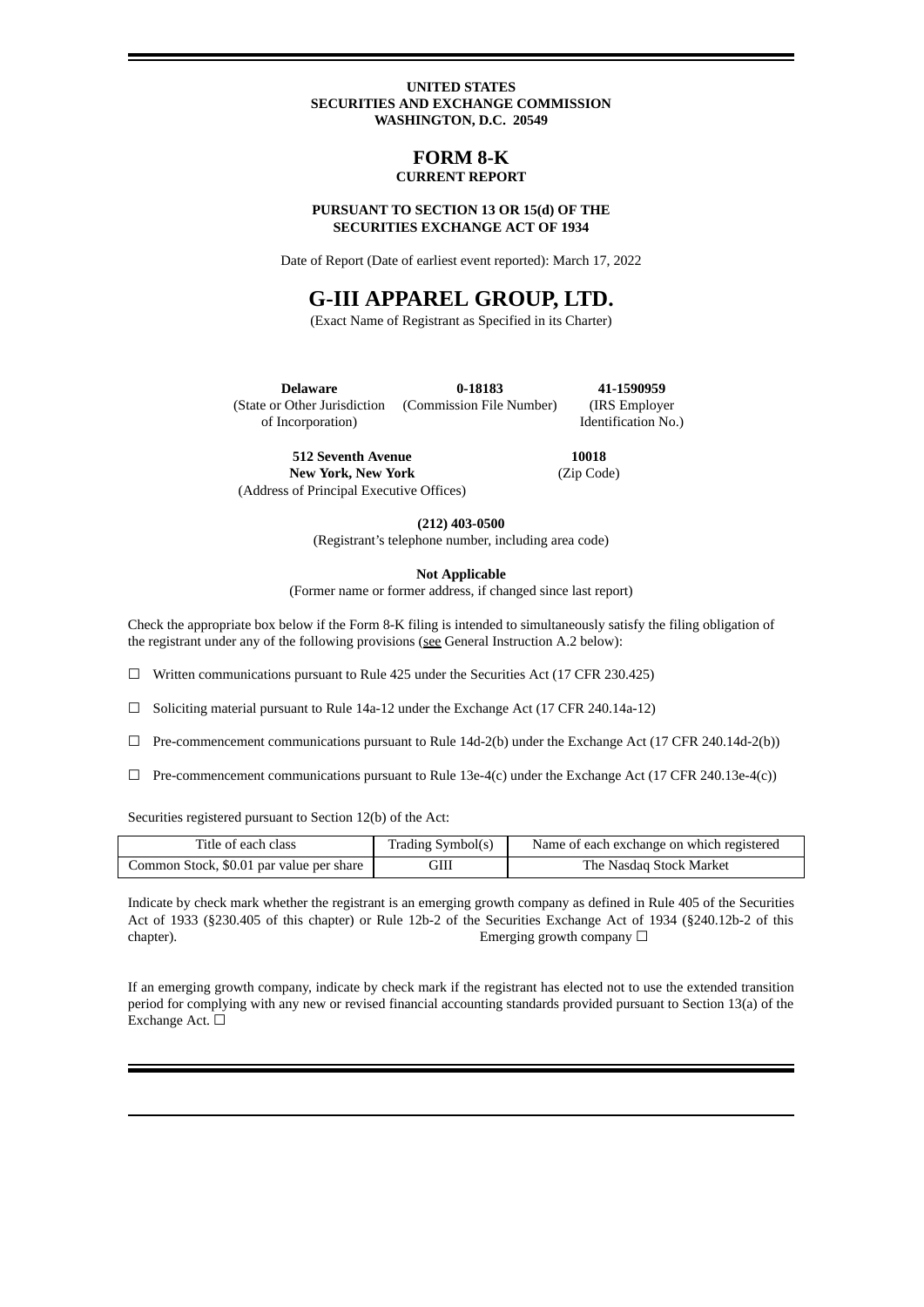#### **UNITED STATES SECURITIES AND EXCHANGE COMMISSION WASHINGTON, D.C. 20549**

### **FORM 8-K CURRENT REPORT**

#### **PURSUANT TO SECTION 13 OR 15(d) OF THE SECURITIES EXCHANGE ACT OF 1934**

Date of Report (Date of earliest event reported): March 17, 2022

# **G-III APPAREL GROUP, LTD.**

(Exact Name of Registrant as Specified in its Charter)

**Delaware** (State or Other Jurisdiction of Incorporation) **0-18183** (Commission File Number) **41-1590959** (IRS Employer Identification No.)

**512 Seventh Avenue New York, New York** (Address of Principal Executive Offices)

**10018** (Zip Code)

**(212) 403-0500**

(Registrant's telephone number, including area code)

**Not Applicable**

(Former name or former address, if changed since last report)

Check the appropriate box below if the Form 8-K filing is intended to simultaneously satisfy the filing obligation of the registrant under any of the following provisions (see General Instruction A.2 below):

 $\Box$  Written communications pursuant to Rule 425 under the Securities Act (17 CFR 230.425)

☐ Soliciting material pursuant to Rule 14a-12 under the Exchange Act (17 CFR 240.14a-12)

- $\Box$  Pre-commencement communications pursuant to Rule 14d-2(b) under the Exchange Act (17 CFR 240.14d-2(b))
- $\Box$  Pre-commencement communications pursuant to Rule 13e-4(c) under the Exchange Act (17 CFR 240.13e-4(c))

Securities registered pursuant to Section 12(b) of the Act:

| Title of each class                      | Trading Symbol(s) | Name of each exchange on which registered |
|------------------------------------------|-------------------|-------------------------------------------|
| Common Stock, \$0.01 par value per share | GIII              | The Nasdaq Stock Market                   |

Indicate by check mark whether the registrant is an emerging growth company as defined in Rule 405 of the Securities Act of 1933 (§230.405 of this chapter) or Rule 12b-2 of the Securities Exchange Act of 1934 (§240.12b-2 of this chapter). Emerging growth company □

If an emerging growth company, indicate by check mark if the registrant has elected not to use the extended transition period for complying with any new or revised financial accounting standards provided pursuant to Section 13(a) of the Exchange Act. □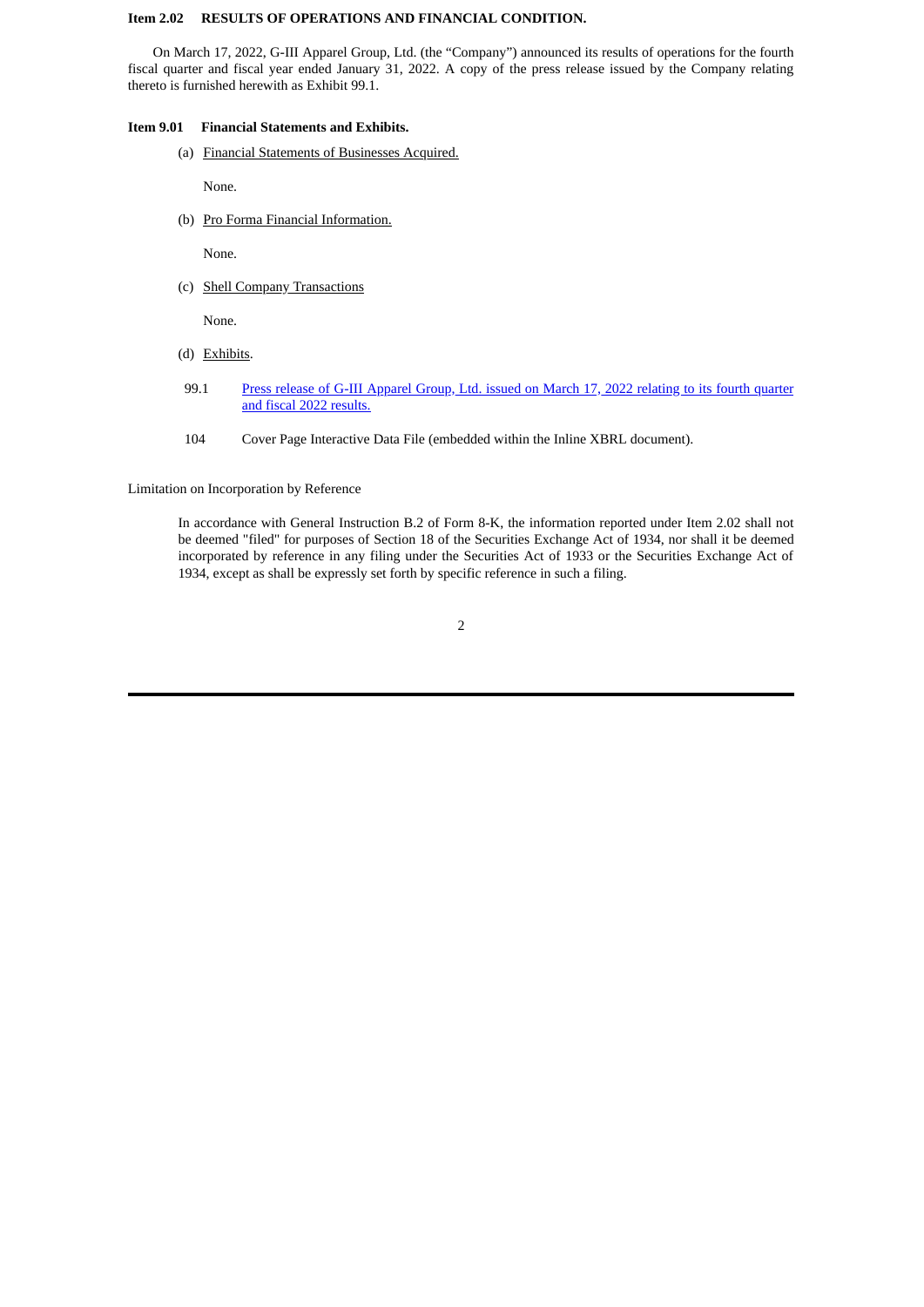### **Item 2.02 RESULTS OF OPERATIONS AND FINANCIAL CONDITION.**

On March 17, 2022, G-III Apparel Group, Ltd. (the "Company") announced its results of operations for the fourth fiscal quarter and fiscal year ended January 31, 2022. A copy of the press release issued by the Company relating thereto is furnished herewith as Exhibit 99.1.

### **Item 9.01 Financial Statements and Exhibits.**

(a) Financial Statements of Businesses Acquired.

None.

(b) Pro Forma Financial Information.

None.

(c) Shell Company Transactions

None.

- (d) Exhibits.
- 99.1 Press release of G-III [Apparel](#page-4-0) Group, Ltd. issued on March 17, 2022 relating to its fourth quarter and fiscal 2022 results.
- 104 Cover Page Interactive Data File (embedded within the Inline XBRL document).

Limitation on Incorporation by Reference

In accordance with General Instruction B.2 of Form 8-K, the information reported under Item 2.02 shall not be deemed "filed" for purposes of Section 18 of the Securities Exchange Act of 1934, nor shall it be deemed incorporated by reference in any filing under the Securities Act of 1933 or the Securities Exchange Act of 1934, except as shall be expressly set forth by specific reference in such a filing.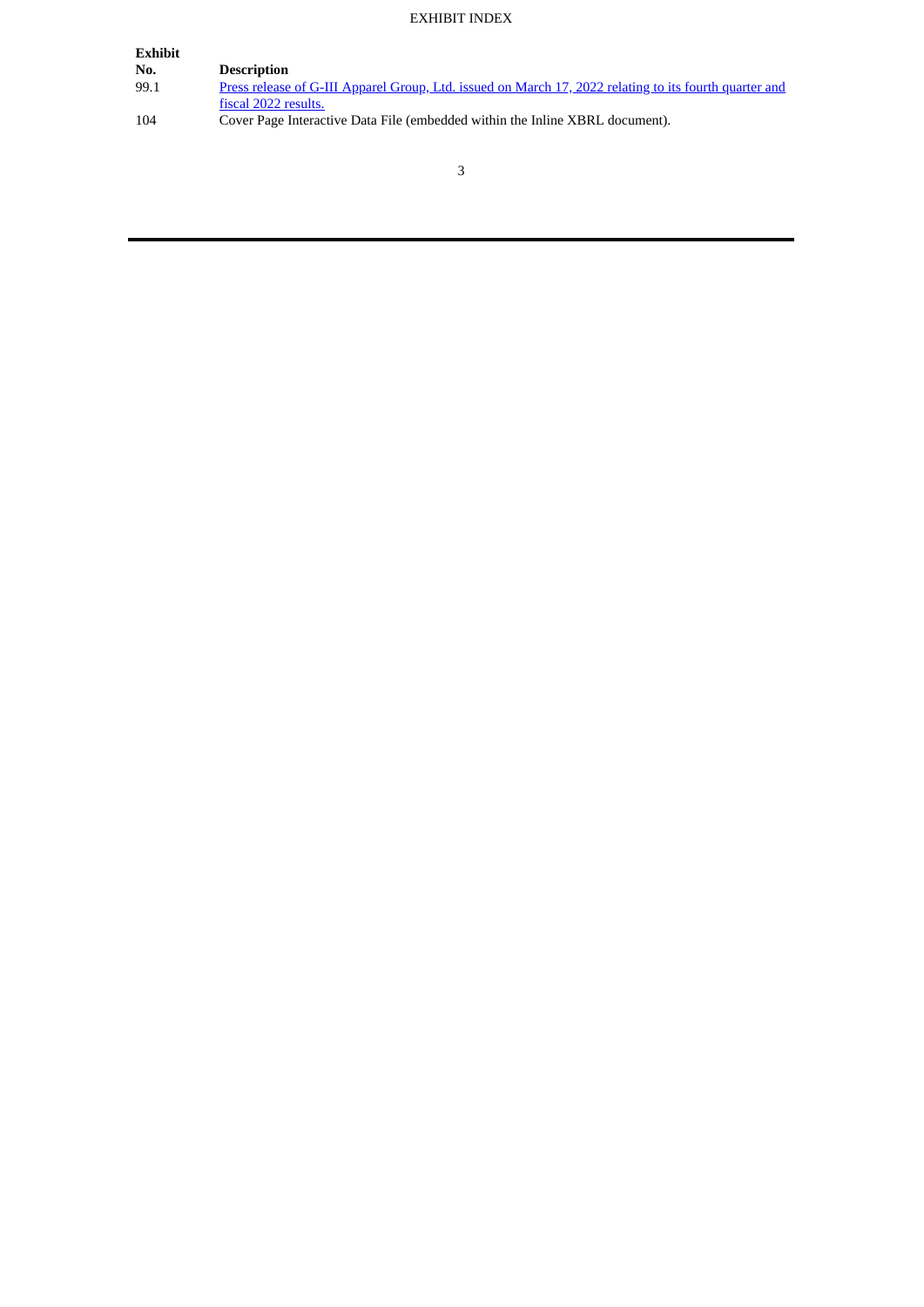# EXHIBIT INDEX

| Exhibit |                                                                                                        |
|---------|--------------------------------------------------------------------------------------------------------|
| No.     | <b>Description</b>                                                                                     |
| 99.1    | Press release of G-III Apparel Group, Ltd. issued on March 17, 2022 relating to its fourth quarter and |
|         | fiscal 2022 results.                                                                                   |
| 104     | Cover Page Interactive Data File (embedded within the Inline XBRL document).                           |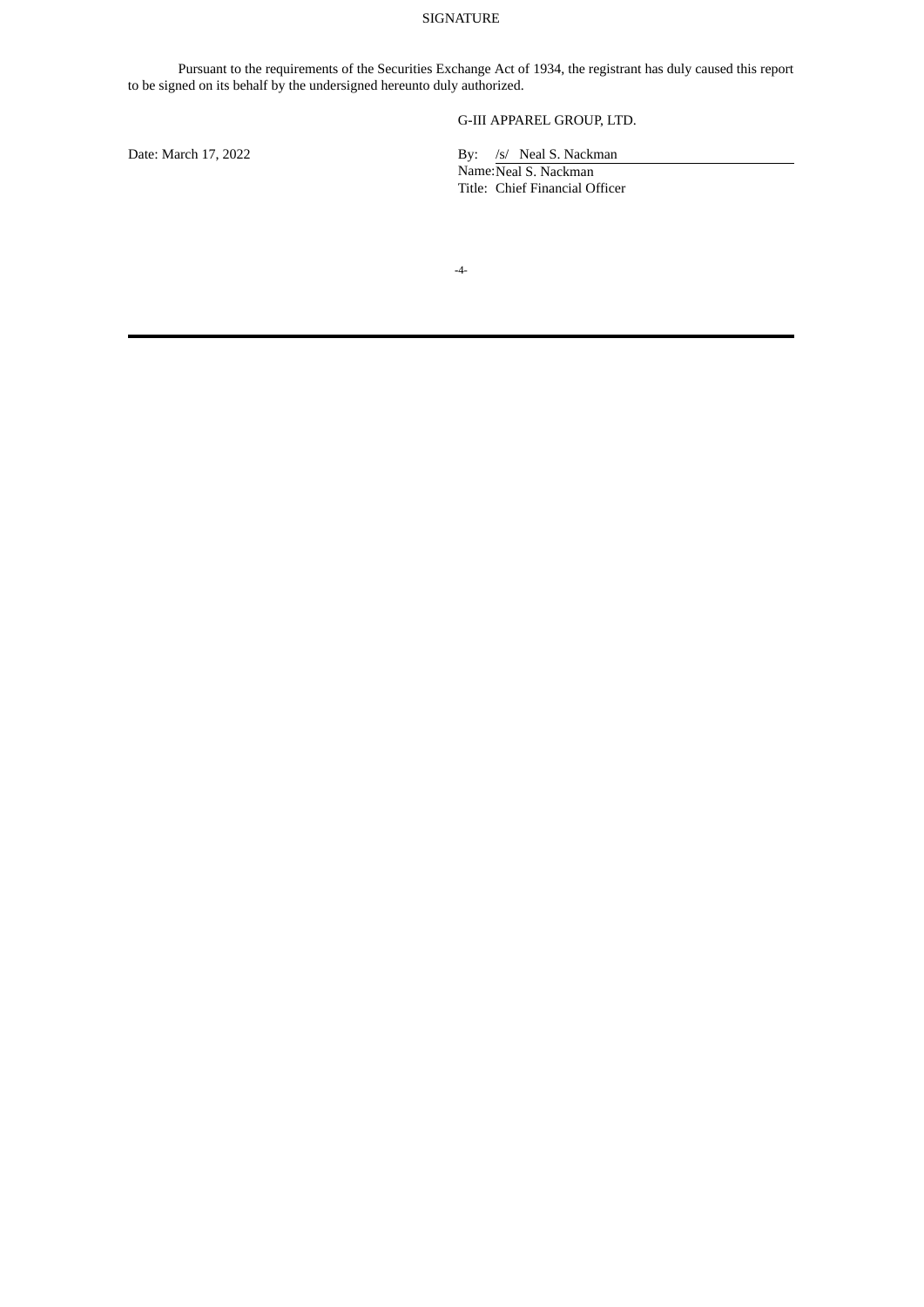### SIGNATURE

Pursuant to the requirements of the Securities Exchange Act of 1934, the registrant has duly caused this report to be signed on its behalf by the undersigned hereunto duly authorized.

# G-III APPAREL GROUP, LTD.

Date: March 17, 2022 By: /s/ Neal S. Nackman

Name: Neal S. Nackman Title: Chief Financial Officer

**-**4-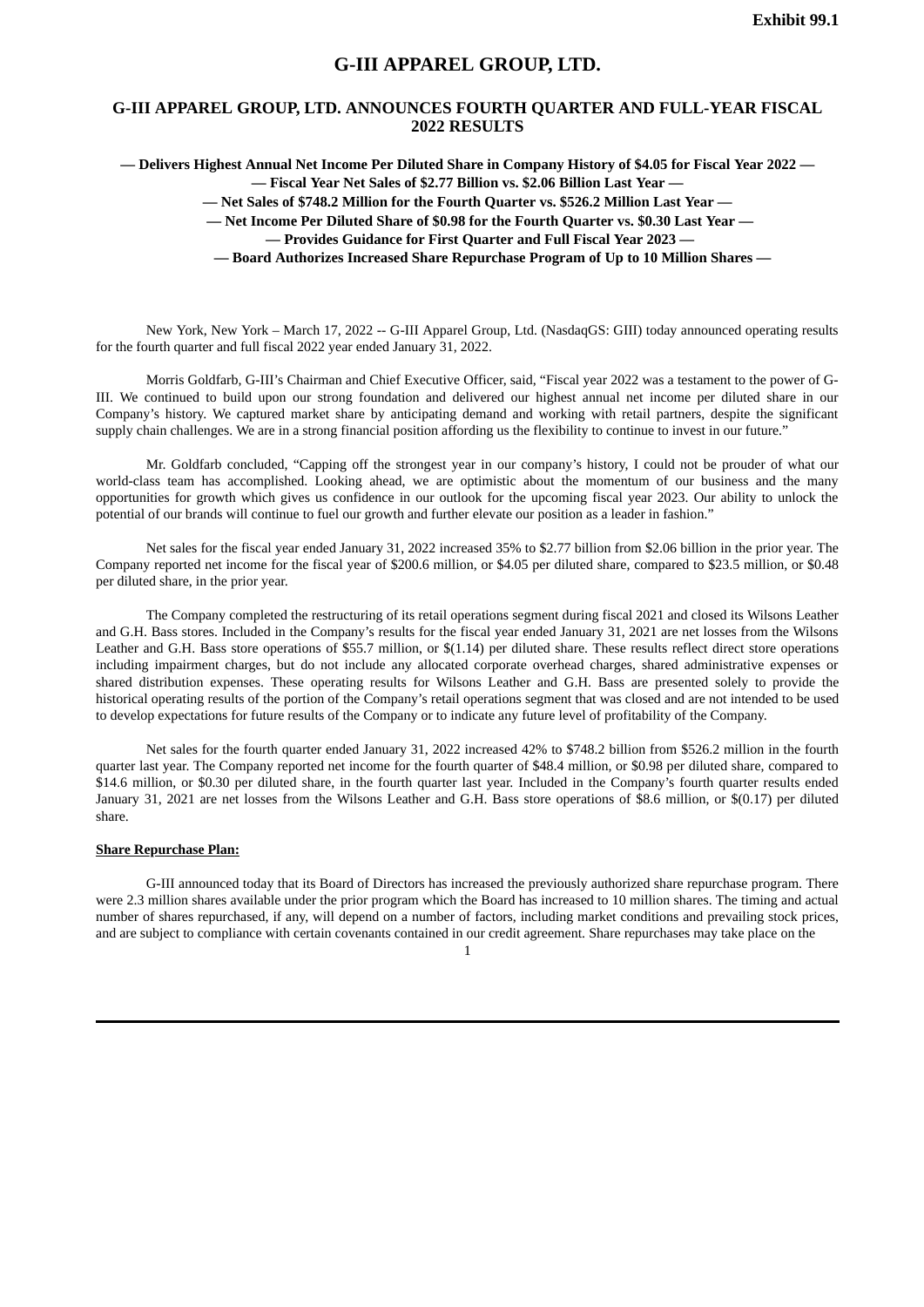### **G-III APPAREL GROUP, LTD.**

# <span id="page-4-0"></span>**G-III APPAREL GROUP, LTD. ANNOUNCES FOURTH QUARTER AND FULL-YEAR FISCAL 2022 RESULTS**

**— Delivers Highest Annual Net Income Per Diluted Share in Company History of \$4.05 for Fiscal Year 2022 — — Fiscal Year Net Sales of \$2.77 Billion vs. \$2.06 Billion Last Year —**

**— Net Sales of \$748.2 Million for the Fourth Quarter vs. \$526.2 Million Last Year —**

**— Net Income Per Diluted Share of \$0.98 for the Fourth Quarter vs. \$0.30 Last Year —**

**— Provides Guidance for First Quarter and Full Fiscal Year 2023 —**

**— Board Authorizes Increased Share Repurchase Program of Up to 10 Million Shares —**

New York, New York – March 17, 2022 -- G-III Apparel Group, Ltd. (NasdaqGS: GIII) today announced operating results for the fourth quarter and full fiscal 2022 year ended January 31, 2022.

Morris Goldfarb, G-III's Chairman and Chief Executive Officer, said, "Fiscal year 2022 was a testament to the power of G-III. We continued to build upon our strong foundation and delivered our highest annual net income per diluted share in our Company's history. We captured market share by anticipating demand and working with retail partners, despite the significant supply chain challenges. We are in a strong financial position affording us the flexibility to continue to invest in our future."

Mr. Goldfarb concluded, "Capping off the strongest year in our company's history, I could not be prouder of what our world-class team has accomplished. Looking ahead, we are optimistic about the momentum of our business and the many opportunities for growth which gives us confidence in our outlook for the upcoming fiscal year 2023. Our ability to unlock the potential of our brands will continue to fuel our growth and further elevate our position as a leader in fashion."

Net sales for the fiscal year ended January 31, 2022 increased 35% to \$2.77 billion from \$2.06 billion in the prior year. The Company reported net income for the fiscal year of \$200.6 million, or \$4.05 per diluted share, compared to \$23.5 million, or \$0.48 per diluted share, in the prior year.

The Company completed the restructuring of its retail operations segment during fiscal 2021 and closed its Wilsons Leather and G.H. Bass stores. Included in the Company's results for the fiscal year ended January 31, 2021 are net losses from the Wilsons Leather and G.H. Bass store operations of \$55.7 million, or \$(1.14) per diluted share. These results reflect direct store operations including impairment charges, but do not include any allocated corporate overhead charges, shared administrative expenses or shared distribution expenses. These operating results for Wilsons Leather and G.H. Bass are presented solely to provide the historical operating results of the portion of the Company's retail operations segment that was closed and are not intended to be used to develop expectations for future results of the Company or to indicate any future level of profitability of the Company.

Net sales for the fourth quarter ended January 31, 2022 increased 42% to \$748.2 billion from \$526.2 million in the fourth quarter last year. The Company reported net income for the fourth quarter of \$48.4 million, or \$0.98 per diluted share, compared to \$14.6 million, or \$0.30 per diluted share, in the fourth quarter last year. Included in the Company's fourth quarter results ended January 31, 2021 are net losses from the Wilsons Leather and G.H. Bass store operations of \$8.6 million, or \$(0.17) per diluted share.

#### **Share Repurchase Plan:**

G-III announced today that its Board of Directors has increased the previously authorized share repurchase program. There were 2.3 million shares available under the prior program which the Board has increased to 10 million shares. The timing and actual number of shares repurchased, if any, will depend on a number of factors, including market conditions and prevailing stock prices, and are subject to compliance with certain covenants contained in our credit agreement. Share repurchases may take place on the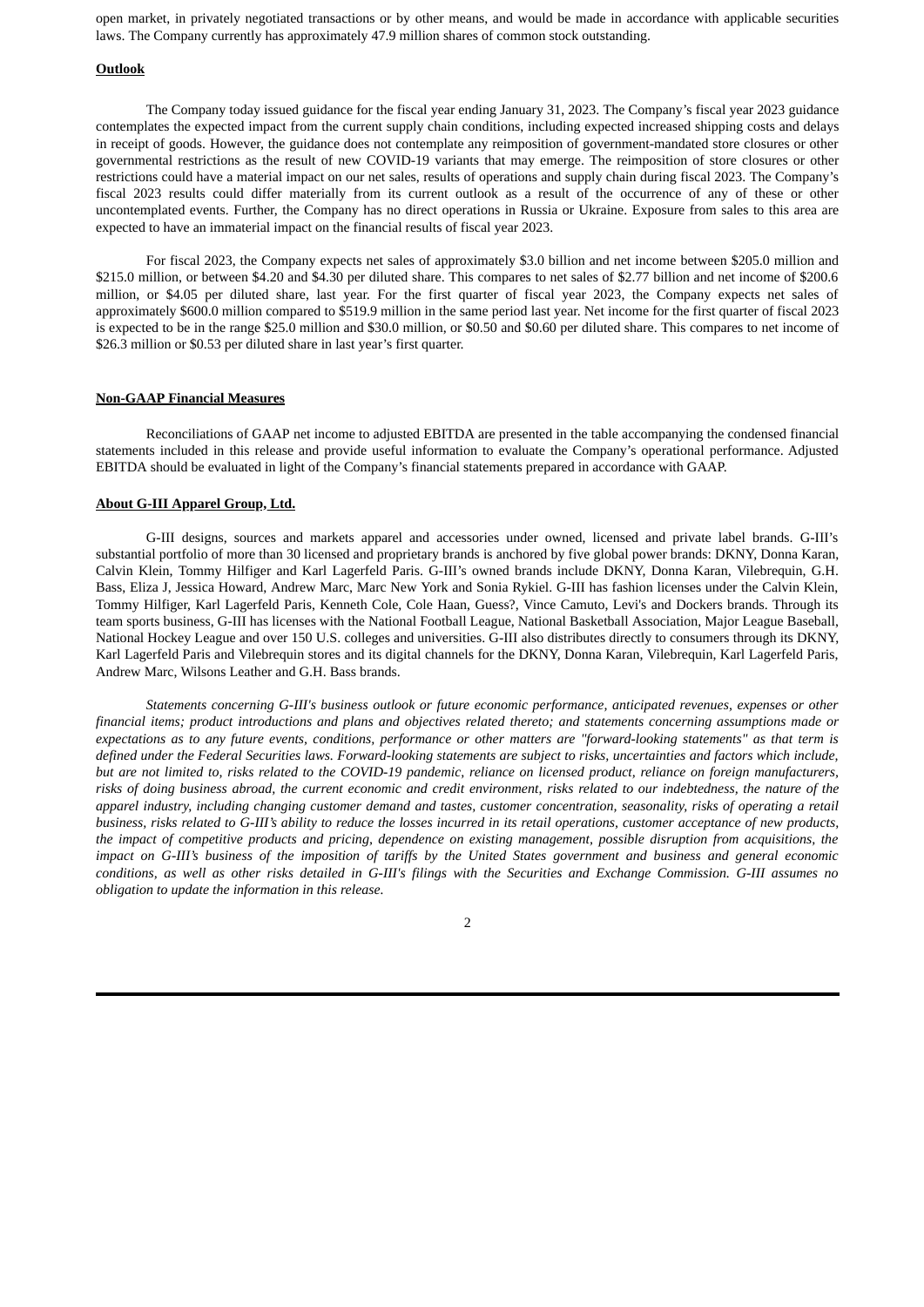open market, in privately negotiated transactions or by other means, and would be made in accordance with applicable securities laws. The Company currently has approximately 47.9 million shares of common stock outstanding.

#### **Outlook**

The Company today issued guidance for the fiscal year ending January 31, 2023. The Company's fiscal year 2023 guidance contemplates the expected impact from the current supply chain conditions, including expected increased shipping costs and delays in receipt of goods. However, the guidance does not contemplate any reimposition of government-mandated store closures or other governmental restrictions as the result of new COVID-19 variants that may emerge. The reimposition of store closures or other restrictions could have a material impact on our net sales, results of operations and supply chain during fiscal 2023. The Company's fiscal 2023 results could differ materially from its current outlook as a result of the occurrence of any of these or other uncontemplated events. Further, the Company has no direct operations in Russia or Ukraine. Exposure from sales to this area are expected to have an immaterial impact on the financial results of fiscal year 2023.

For fiscal 2023, the Company expects net sales of approximately \$3.0 billion and net income between \$205.0 million and \$215.0 million, or between \$4.20 and \$4.30 per diluted share. This compares to net sales of \$2.77 billion and net income of \$200.6 million, or \$4.05 per diluted share, last year. For the first quarter of fiscal year 2023, the Company expects net sales of approximately \$600.0 million compared to \$519.9 million in the same period last year. Net income for the first quarter of fiscal 2023 is expected to be in the range \$25.0 million and \$30.0 million, or \$0.50 and \$0.60 per diluted share. This compares to net income of \$26.3 million or \$0.53 per diluted share in last year's first quarter.

#### **Non-GAAP Financial Measures**

Reconciliations of GAAP net income to adjusted EBITDA are presented in the table accompanying the condensed financial statements included in this release and provide useful information to evaluate the Company's operational performance. Adjusted EBITDA should be evaluated in light of the Company's financial statements prepared in accordance with GAAP.

#### **About G-III Apparel Group, Ltd.**

G-III designs, sources and markets apparel and accessories under owned, licensed and private label brands. G-III's substantial portfolio of more than 30 licensed and proprietary brands is anchored by five global power brands: DKNY, Donna Karan, Calvin Klein, Tommy Hilfiger and Karl Lagerfeld Paris. G-III's owned brands include DKNY, Donna Karan, Vilebrequin, G.H. Bass, Eliza J, Jessica Howard, Andrew Marc, Marc New York and Sonia Rykiel. G-III has fashion licenses under the Calvin Klein, Tommy Hilfiger, Karl Lagerfeld Paris, Kenneth Cole, Cole Haan, Guess?, Vince Camuto, Levi's and Dockers brands. Through its team sports business, G-III has licenses with the National Football League, National Basketball Association, Major League Baseball, National Hockey League and over 150 U.S. colleges and universities. G-III also distributes directly to consumers through its DKNY, Karl Lagerfeld Paris and Vilebrequin stores and its digital channels for the DKNY, Donna Karan, Vilebrequin, Karl Lagerfeld Paris, Andrew Marc, Wilsons Leather and G.H. Bass brands.

*Statements concerning G-III's business outlook or future economic performance, anticipated revenues, expenses or other* financial items; product introductions and plans and objectives related thereto; and statements concerning assumptions made or expectations as to any future events, conditions, performance or other matters are "forward-looking statements" as that term is defined under the Federal Securities laws. Forward-looking statements are subject to risks, uncertainties and factors which include, but are not limited to, risks related to the COVID-19 pandemic, reliance on licensed product, reliance on foreign manufacturers, risks of doing business abroad, the current economic and credit environment, risks related to our indebtedness, the nature of the apparel industry, including changing customer demand and tastes, customer concentration, seasonality, risks of operating a retail business, risks related to G-III's ability to reduce the losses incurred in its retail operations, customer acceptance of new products, the impact of competitive products and pricing, dependence on existing management, possible disruption from acquisitions, the impact on G-III's business of the imposition of tariffs by the United States government and business and general economic conditions, as well as other risks detailed in G-III's filings with the Securities and Exchange Commission. G-III assumes no *obligation to update the information in this release.*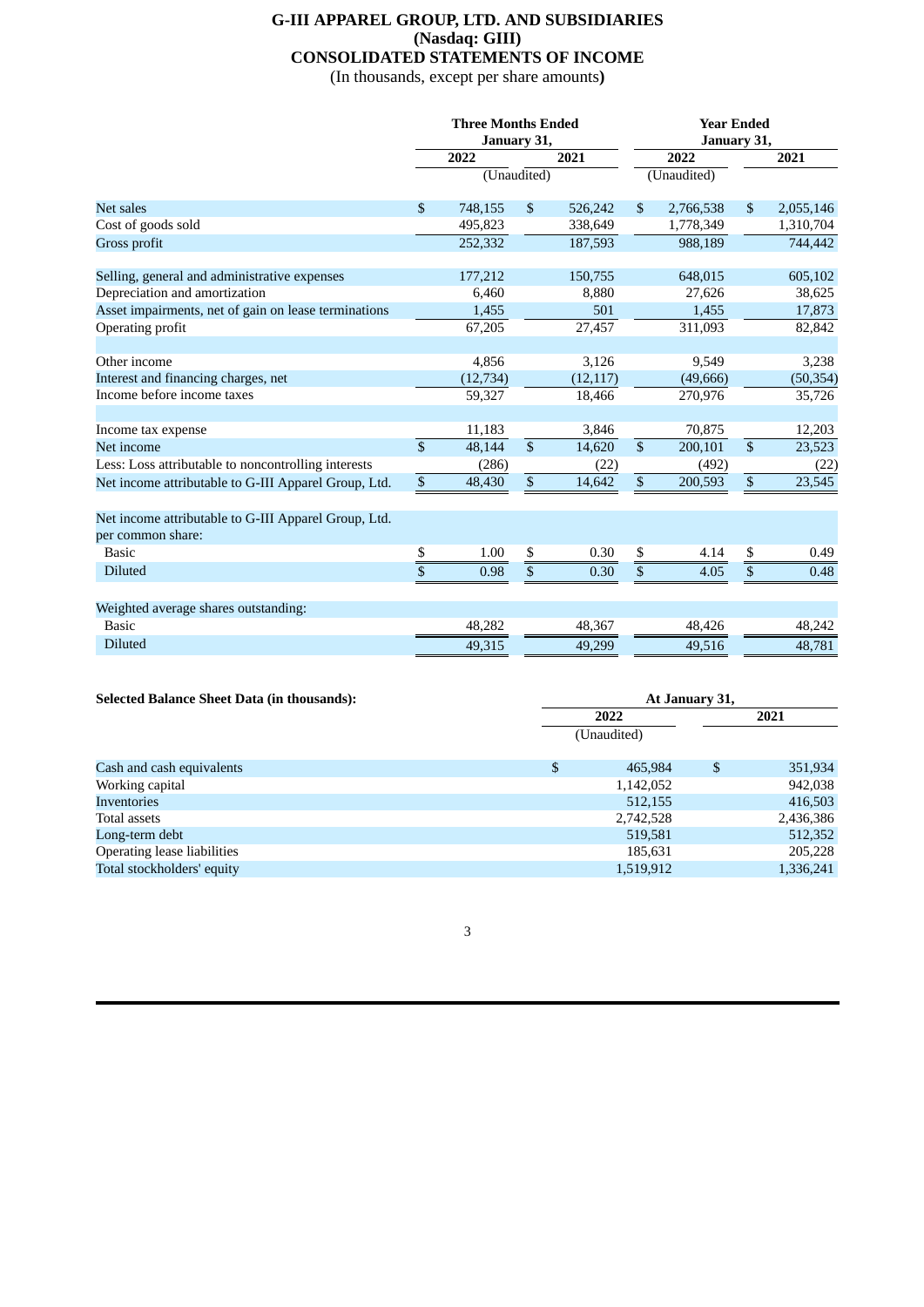# **G-III APPAREL GROUP, LTD. AND SUBSIDIARIES (Nasdaq: GIII) CONSOLIDATED STATEMENTS OF INCOME**

(In thousands, except per share amounts**)**

|                                                                           | <b>Three Months Ended</b><br>January 31, |                                 |                           |           |                         | <b>Year Ended</b><br>January 31, |                          |           |  |  |
|---------------------------------------------------------------------------|------------------------------------------|---------------------------------|---------------------------|-----------|-------------------------|----------------------------------|--------------------------|-----------|--|--|
|                                                                           | 2022                                     |                                 |                           | 2021      | 2022                    |                                  |                          | 2021      |  |  |
|                                                                           |                                          | $\overline{\text{(Unaudited)}}$ |                           |           |                         | (Unaudited)                      |                          |           |  |  |
| Net sales                                                                 | $\mathbb{S}$                             | 748,155                         | $\boldsymbol{\mathsf{S}}$ | 526,242   | \$                      | 2,766,538                        | $\mathfrak{S}$           | 2,055,146 |  |  |
| Cost of goods sold                                                        |                                          | 495,823                         |                           | 338,649   |                         | 1,778,349                        |                          | 1,310,704 |  |  |
| Gross profit                                                              |                                          | 252,332                         |                           | 187,593   |                         | 988,189                          |                          | 744,442   |  |  |
| Selling, general and administrative expenses                              |                                          | 177,212                         |                           | 150,755   |                         | 648,015                          |                          | 605,102   |  |  |
| Depreciation and amortization                                             |                                          | 6,460                           |                           | 8,880     |                         | 27,626                           |                          | 38,625    |  |  |
| Asset impairments, net of gain on lease terminations                      |                                          | 1,455                           |                           | 501       |                         | 1,455                            |                          | 17,873    |  |  |
| Operating profit                                                          |                                          | 67,205                          |                           | 27,457    |                         | 311,093                          |                          | 82,842    |  |  |
| Other income                                                              |                                          | 4,856                           |                           | 3,126     |                         | 9,549                            |                          | 3,238     |  |  |
| Interest and financing charges, net                                       |                                          | (12, 734)                       |                           | (12, 117) |                         | (49,666)                         |                          | (50, 354) |  |  |
| Income before income taxes                                                |                                          | 59,327                          |                           | 18,466    |                         | 270,976                          |                          | 35,726    |  |  |
| Income tax expense                                                        |                                          | 11,183                          |                           | 3,846     |                         | 70,875                           |                          | 12,203    |  |  |
| Net income                                                                | $\overline{\mathbb{S}}$                  | 48,144                          | $\overline{\mathcal{S}}$  | 14,620    | $\overline{\mathbb{S}}$ | 200,101                          | $\overline{\mathcal{S}}$ | 23,523    |  |  |
| Less: Loss attributable to noncontrolling interests                       |                                          | (286)                           |                           | (22)      |                         | (492)                            |                          | (22)      |  |  |
| Net income attributable to G-III Apparel Group, Ltd.                      | $\sqrt{s}$                               | 48,430                          | $\overline{\mathcal{S}}$  | 14,642    | $\mathbb{S}$            | 200,593                          | $\sqrt{s}$               | 23,545    |  |  |
| Net income attributable to G-III Apparel Group, Ltd.<br>per common share: |                                          |                                 |                           |           |                         |                                  |                          |           |  |  |
| <b>Basic</b>                                                              | \$                                       | 1.00                            | \$                        | 0.30      | \$                      | 4.14                             | \$                       | 0.49      |  |  |
| <b>Diluted</b>                                                            | $\overline{\mathbb{S}}$                  | 0.98                            | \$                        | 0.30      | \$                      | 4.05                             | \$                       | 0.48      |  |  |
| Weighted average shares outstanding:                                      |                                          |                                 |                           |           |                         |                                  |                          |           |  |  |
| <b>Basic</b>                                                              |                                          | 48,282                          |                           | 48,367    |                         | 48,426                           |                          | 48,242    |  |  |
| <b>Diluted</b>                                                            |                                          | 49,315                          |                           | 49,299    |                         | 49,516                           |                          | 48,781    |  |  |

| <b>Selected Balance Sheet Data (in thousands):</b> |                | At January 31,      |    |           |  |  |  |
|----------------------------------------------------|----------------|---------------------|----|-----------|--|--|--|
|                                                    |                | 2022<br>(Unaudited) |    |           |  |  |  |
|                                                    |                |                     |    |           |  |  |  |
| Cash and cash equivalents                          | $\mathfrak{S}$ | 465.984             | \$ | 351,934   |  |  |  |
| Working capital                                    |                | 1,142,052           |    | 942,038   |  |  |  |
| Inventories                                        |                | 512,155             |    | 416,503   |  |  |  |
| Total assets                                       |                | 2,742,528           |    | 2,436,386 |  |  |  |
| Long-term debt                                     |                | 519,581             |    | 512,352   |  |  |  |
| Operating lease liabilities                        |                | 185,631             |    | 205,228   |  |  |  |
| Total stockholders' equity                         |                | 1,519,912           |    | 1,336,241 |  |  |  |

3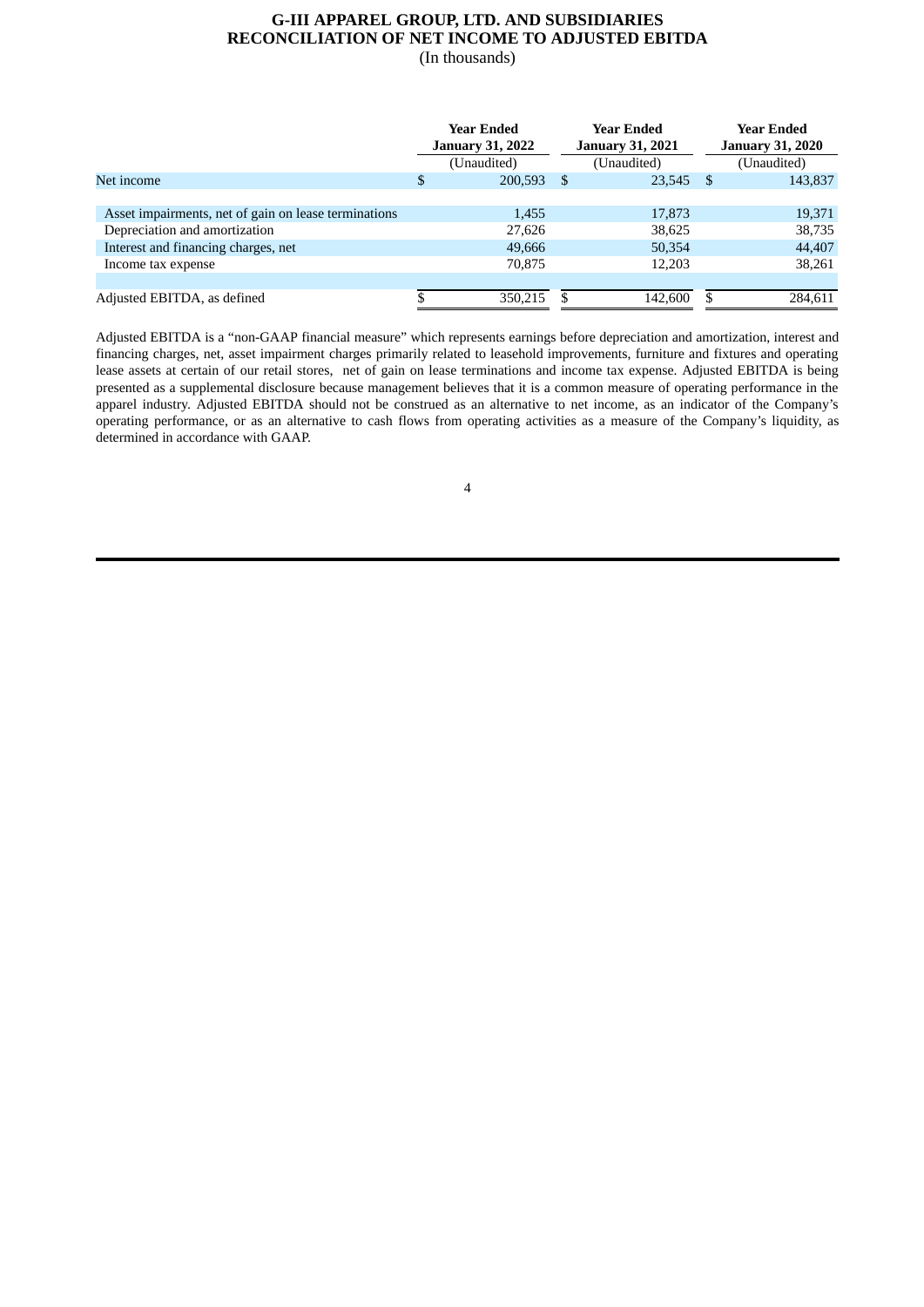### **G-III APPAREL GROUP, LTD. AND SUBSIDIARIES RECONCILIATION OF NET INCOME TO ADJUSTED EBITDA** (In thousands)

|                                                      | <b>Year Ended</b><br><b>January 31, 2022</b> | <b>Year Ended</b><br><b>January 31, 2021</b> |             |             | <b>Year Ended</b><br><b>January 31, 2020</b> |  |
|------------------------------------------------------|----------------------------------------------|----------------------------------------------|-------------|-------------|----------------------------------------------|--|
|                                                      | (Unaudited)                                  |                                              | (Unaudited) | (Unaudited) |                                              |  |
| Net income                                           | \$<br>200,593                                | \$.                                          | 23,545      | - \$        | 143,837                                      |  |
|                                                      |                                              |                                              |             |             |                                              |  |
| Asset impairments, net of gain on lease terminations | 1,455                                        |                                              | 17,873      |             | 19,371                                       |  |
| Depreciation and amortization                        | 27,626                                       |                                              | 38,625      |             | 38,735                                       |  |
| Interest and financing charges, net                  | 49,666                                       |                                              | 50,354      |             | 44,407                                       |  |
| Income tax expense                                   | 70,875                                       |                                              | 12,203      |             | 38,261                                       |  |
|                                                      |                                              |                                              |             |             |                                              |  |
| Adjusted EBITDA, as defined                          | 350,215                                      |                                              | 142,600     | S           | 284,611                                      |  |

Adjusted EBITDA is a "non-GAAP financial measure" which represents earnings before depreciation and amortization, interest and financing charges, net, asset impairment charges primarily related to leasehold improvements, furniture and fixtures and operating lease assets at certain of our retail stores, net of gain on lease terminations and income tax expense. Adjusted EBITDA is being presented as a supplemental disclosure because management believes that it is a common measure of operating performance in the apparel industry. Adjusted EBITDA should not be construed as an alternative to net income, as an indicator of the Company's operating performance, or as an alternative to cash flows from operating activities as a measure of the Company's liquidity, as determined in accordance with GAAP.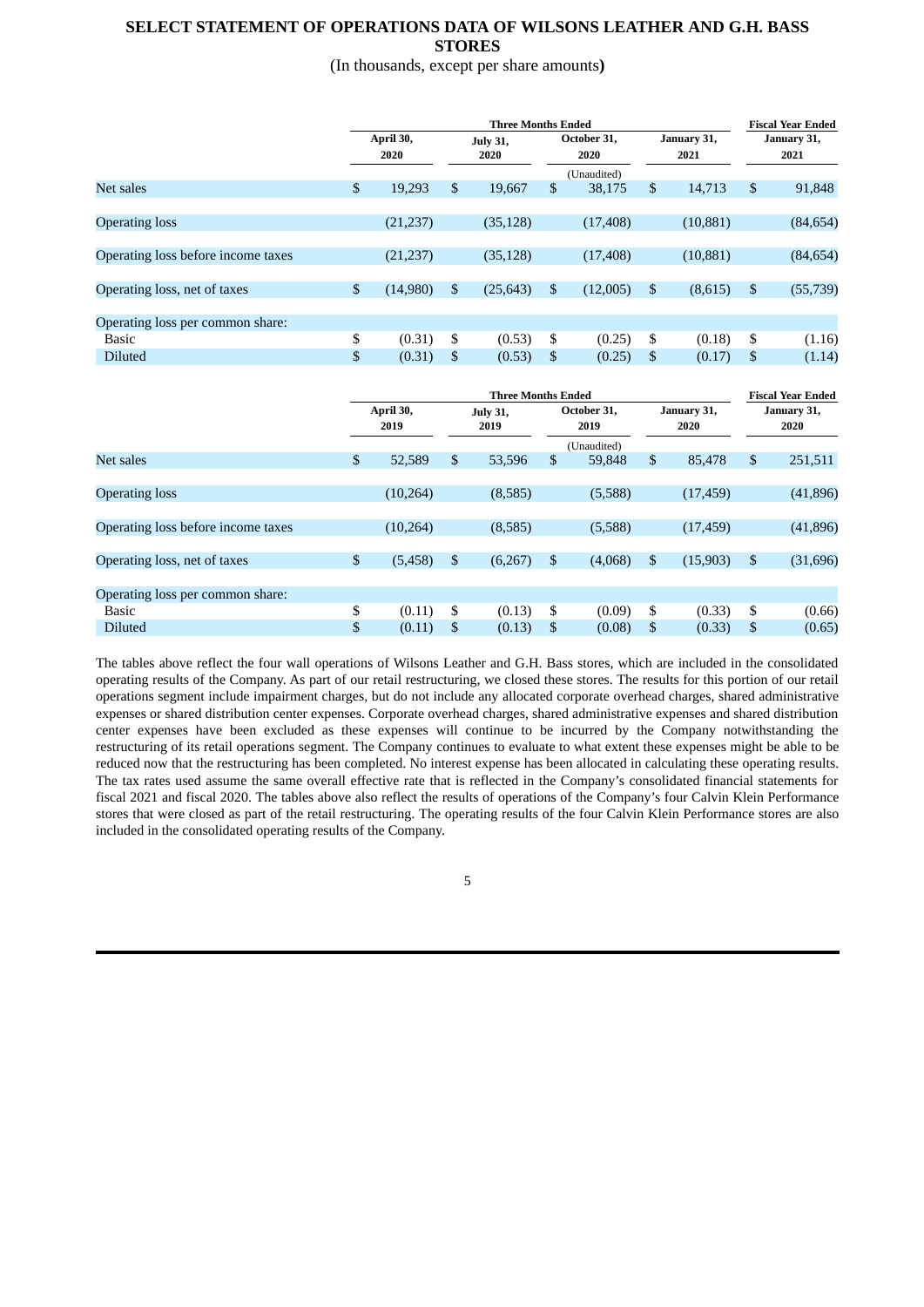# **SELECT STATEMENT OF OPERATIONS DATA OF WILSONS LEATHER AND G.H. BASS STORES**

# (In thousands, except per share amounts**)**

|                                    |                   | <b>Three Months Ended</b> |                         |           |                     |             |                     |           | <b>Fiscal Year Ended</b> |           |
|------------------------------------|-------------------|---------------------------|-------------------------|-----------|---------------------|-------------|---------------------|-----------|--------------------------|-----------|
|                                    | April 30,<br>2020 |                           | <b>July 31,</b><br>2020 |           | October 31,<br>2020 |             | January 31,<br>2021 |           | January 31,<br>2021      |           |
|                                    |                   |                           |                         |           |                     | (Unaudited) |                     |           |                          |           |
| Net sales                          | \$                | 19,293                    | \$                      | 19,667    | \$                  | 38,175      | \$                  | 14,713    | \$                       | 91,848    |
|                                    |                   |                           |                         |           |                     |             |                     |           |                          |           |
| <b>Operating loss</b>              |                   | (21, 237)                 |                         | (35, 128) |                     | (17, 408)   |                     | (10, 881) |                          | (84, 654) |
|                                    |                   |                           |                         |           |                     |             |                     |           |                          |           |
| Operating loss before income taxes |                   | (21, 237)                 |                         | (35, 128) |                     | (17, 408)   |                     | (10, 881) |                          | (84, 654) |
|                                    |                   |                           |                         |           |                     |             |                     |           |                          |           |
| Operating loss, net of taxes       | $\mathbb{S}$      | (14,980)                  | \$                      | (25, 643) | \$                  | (12,005)    | \$                  | (8,615)   | \$                       | (55, 739) |
|                                    |                   |                           |                         |           |                     |             |                     |           |                          |           |
| Operating loss per common share:   |                   |                           |                         |           |                     |             |                     |           |                          |           |
| Basic                              | \$                | (0.31)                    | \$                      | (0.53)    | \$                  | (0.25)      | \$                  | (0.18)    | \$                       | (1.16)    |
| <b>Diluted</b>                     | \$                | (0.31)                    | \$                      | (0.53)    | \$                  | (0.25)      | \$                  | (0.17)    | \$                       | (1.14)    |
|                                    |                   |                           |                         |           |                     |             |                     |           |                          |           |

|                                    |                | <b>Three Months Ended</b> |    |                         |             |                     |                |                     | <b>Fiscal Year Ended</b> |                     |  |
|------------------------------------|----------------|---------------------------|----|-------------------------|-------------|---------------------|----------------|---------------------|--------------------------|---------------------|--|
|                                    |                | April 30,<br>2019         |    | <b>July 31,</b><br>2019 |             | October 31,<br>2019 |                | January 31,<br>2020 |                          | January 31,<br>2020 |  |
|                                    |                |                           |    |                         | (Unaudited) |                     |                |                     |                          |                     |  |
| Net sales                          | \$             | 52,589                    | \$ | 53,596                  | \$          | 59,848              | $\mathfrak{S}$ | 85,478              | \$                       | 251,511             |  |
|                                    |                |                           |    |                         |             |                     |                |                     |                          |                     |  |
| <b>Operating loss</b>              |                | (10, 264)                 |    | (8,585)                 |             | (5,588)             |                | (17, 459)           |                          | (41,896)            |  |
|                                    |                |                           |    |                         |             |                     |                |                     |                          |                     |  |
| Operating loss before income taxes |                | (10, 264)                 |    | (8,585)                 |             | (5,588)             |                | (17, 459)           |                          | (41,896)            |  |
|                                    |                |                           |    |                         |             |                     |                |                     |                          |                     |  |
| Operating loss, net of taxes       | $\mathfrak{S}$ | (5, 458)                  | \$ | (6,267)                 | \$          | (4,068)             | \$             | (15,903)            | \$                       | (31, 696)           |  |
|                                    |                |                           |    |                         |             |                     |                |                     |                          |                     |  |
| Operating loss per common share:   |                |                           |    |                         |             |                     |                |                     |                          |                     |  |
| <b>Basic</b>                       | \$             | (0.11)                    | \$ | (0.13)                  | \$          | (0.09)              | \$             | (0.33)              | \$                       | (0.66)              |  |
| <b>Diluted</b>                     | \$             | (0.11)                    | \$ | (0.13)                  | \$          | (0.08)              | \$             | (0.33)              | \$                       | (0.65)              |  |
|                                    |                |                           |    |                         |             |                     |                |                     |                          |                     |  |

The tables above reflect the four wall operations of Wilsons Leather and G.H. Bass stores, which are included in the consolidated operating results of the Company. As part of our retail restructuring, we closed these stores. The results for this portion of our retail operations segment include impairment charges, but do not include any allocated corporate overhead charges, shared administrative expenses or shared distribution center expenses. Corporate overhead charges, shared administrative expenses and shared distribution center expenses have been excluded as these expenses will continue to be incurred by the Company notwithstanding the restructuring of its retail operations segment. The Company continues to evaluate to what extent these expenses might be able to be reduced now that the restructuring has been completed. No interest expense has been allocated in calculating these operating results. The tax rates used assume the same overall effective rate that is reflected in the Company's consolidated financial statements for fiscal 2021 and fiscal 2020. The tables above also reflect the results of operations of the Company's four Calvin Klein Performance stores that were closed as part of the retail restructuring. The operating results of the four Calvin Klein Performance stores are also included in the consolidated operating results of the Company.